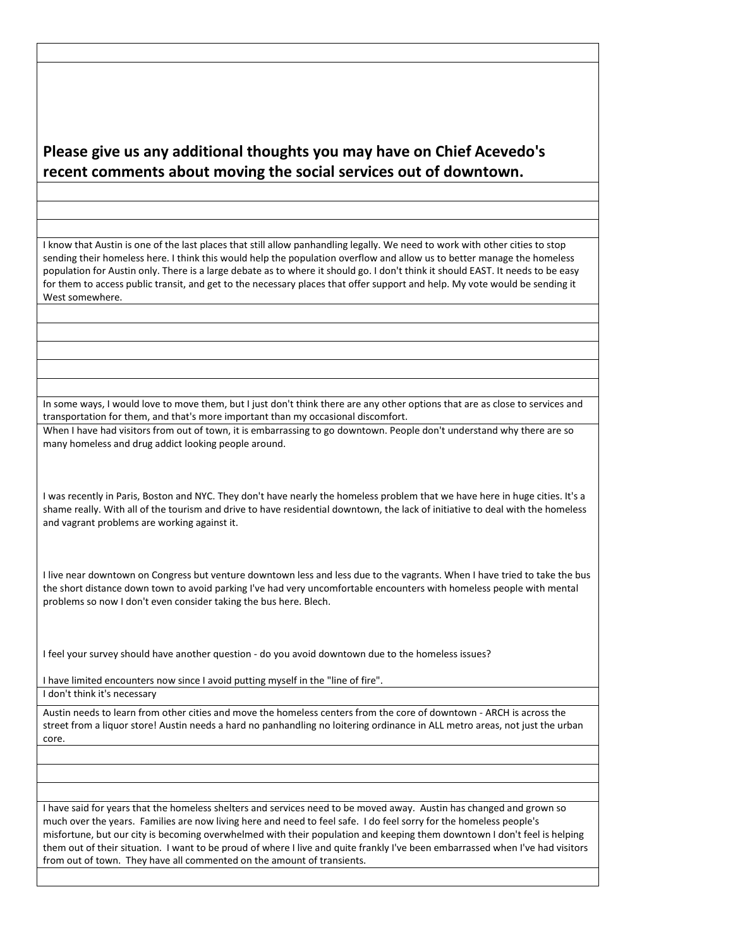## **Please give us any additional thoughts you may have on Chief Acevedo's recent comments about moving the social services out of downtown.**

I know that Austin is one of the last places that still allow panhandling legally. We need to work with other cities to stop sending their homeless here. I think this would help the population overflow and allow us to better manage the homeless population for Austin only. There is a large debate as to where it should go. I don't think it should EAST. It needs to be easy for them to access public transit, and get to the necessary places that offer support and help. My vote would be sending it West somewhere.

In some ways, I would love to move them, but I just don't think there are any other options that are as close to services and transportation for them, and that's more important than my occasional discomfort.

When I have had visitors from out of town, it is embarrassing to go downtown. People don't understand why there are so many homeless and drug addict looking people around.

I was recently in Paris, Boston and NYC. They don't have nearly the homeless problem that we have here in huge cities. It's a shame really. With all of the tourism and drive to have residential downtown, the lack of initiative to deal with the homeless and vagrant problems are working against it.

I live near downtown on Congress but venture downtown less and less due to the vagrants. When I have tried to take the bus the short distance down town to avoid parking I've had very uncomfortable encounters with homeless people with mental problems so now I don't even consider taking the bus here. Blech.

I feel your survey should have another question - do you avoid downtown due to the homeless issues?

I have limited encounters now since I avoid putting myself in the "line of fire".

I don't think it's necessary

Austin needs to learn from other cities and move the homeless centers from the core of downtown - ARCH is across the street from a liquor store! Austin needs a hard no panhandling no loitering ordinance in ALL metro areas, not just the urban core.

I have said for years that the homeless shelters and services need to be moved away. Austin has changed and grown so much over the years. Families are now living here and need to feel safe. I do feel sorry for the homeless people's misfortune, but our city is becoming overwhelmed with their population and keeping them downtown I don't feel is helping them out of their situation. I want to be proud of where I live and quite frankly I've been embarrassed when I've had visitors from out of town. They have all commented on the amount of transients.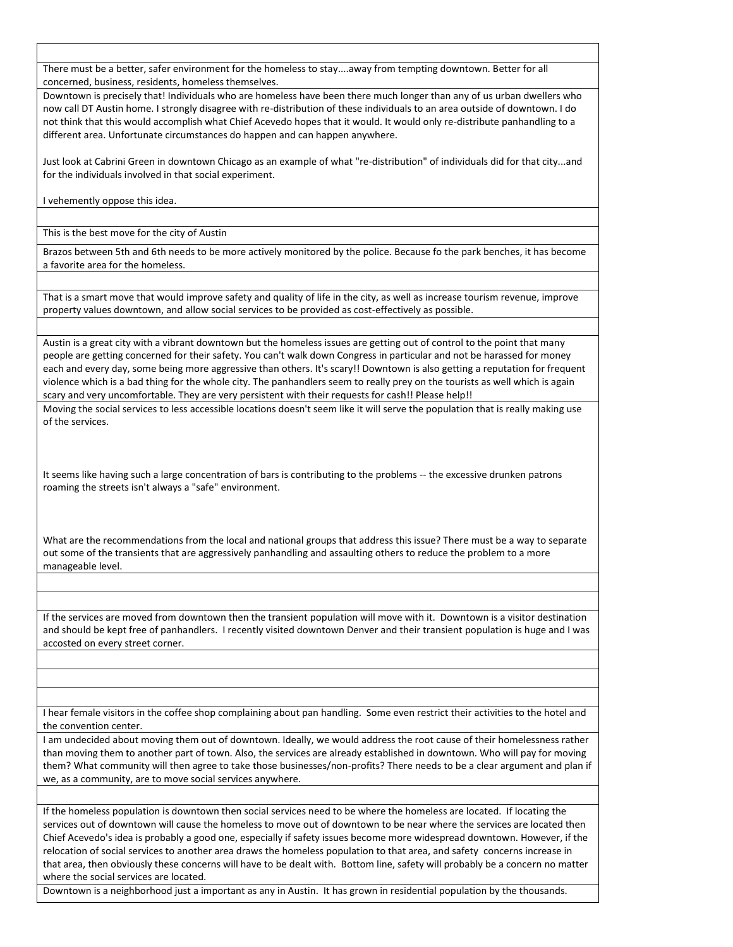There must be a better, safer environment for the homeless to stay....away from tempting downtown. Better for all concerned, business, residents, homeless themselves.

Downtown is precisely that! Individuals who are homeless have been there much longer than any of us urban dwellers who now call DT Austin home. I strongly disagree with re-distribution of these individuals to an area outside of downtown. I do not think that this would accomplish what Chief Acevedo hopes that it would. It would only re-distribute panhandling to a different area. Unfortunate circumstances do happen and can happen anywhere.

Just look at Cabrini Green in downtown Chicago as an example of what "re-distribution" of individuals did for that city...and for the individuals involved in that social experiment.

I vehemently oppose this idea.

This is the best move for the city of Austin

Brazos between 5th and 6th needs to be more actively monitored by the police. Because fo the park benches, it has become a favorite area for the homeless.

That is a smart move that would improve safety and quality of life in the city, as well as increase tourism revenue, improve property values downtown, and allow social services to be provided as cost-effectively as possible.

Austin is a great city with a vibrant downtown but the homeless issues are getting out of control to the point that many people are getting concerned for their safety. You can't walk down Congress in particular and not be harassed for money each and every day, some being more aggressive than others. It's scary!! Downtown is also getting a reputation for frequent violence which is a bad thing for the whole city. The panhandlers seem to really prey on the tourists as well which is again scary and very uncomfortable. They are very persistent with their requests for cash!! Please help!!

Moving the social services to less accessible locations doesn't seem like it will serve the population that is really making use of the services.

It seems like having such a large concentration of bars is contributing to the problems -- the excessive drunken patrons roaming the streets isn't always a "safe" environment.

What are the recommendations from the local and national groups that address this issue? There must be a way to separate out some of the transients that are aggressively panhandling and assaulting others to reduce the problem to a more manageable level.

If the services are moved from downtown then the transient population will move with it. Downtown is a visitor destination and should be kept free of panhandlers. I recently visited downtown Denver and their transient population is huge and I was accosted on every street corner.

I hear female visitors in the coffee shop complaining about pan handling. Some even restrict their activities to the hotel and the convention center.

I am undecided about moving them out of downtown. Ideally, we would address the root cause of their homelessness rather than moving them to another part of town. Also, the services are already established in downtown. Who will pay for moving them? What community will then agree to take those businesses/non-profits? There needs to be a clear argument and plan if we, as a community, are to move social services anywhere.

If the homeless population is downtown then social services need to be where the homeless are located. If locating the services out of downtown will cause the homeless to move out of downtown to be near where the services are located then Chief Acevedo's idea is probably a good one, especially if safety issues become more widespread downtown. However, if the relocation of social services to another area draws the homeless population to that area, and safety concerns increase in that area, then obviously these concerns will have to be dealt with. Bottom line, safety will probably be a concern no matter where the social services are located.

Downtown is a neighborhood just a important as any in Austin. It has grown in residential population by the thousands.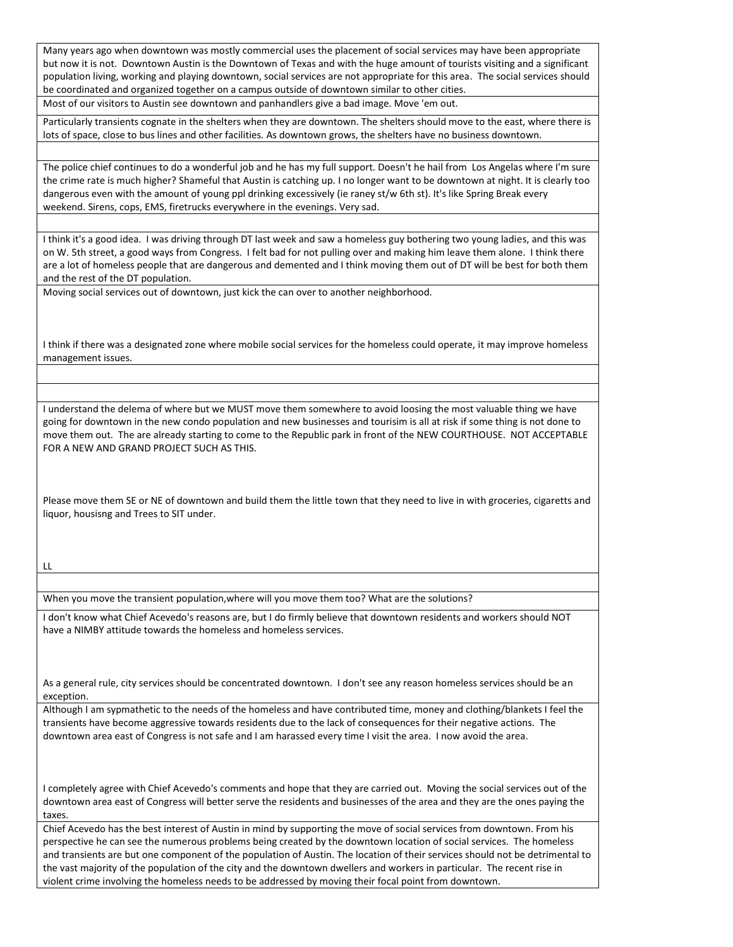Many years ago when downtown was mostly commercial uses the placement of social services may have been appropriate but now it is not. Downtown Austin is the Downtown of Texas and with the huge amount of tourists visiting and a significant population living, working and playing downtown, social services are not appropriate for this area. The social services should be coordinated and organized together on a campus outside of downtown similar to other cities.

Most of our visitors to Austin see downtown and panhandlers give a bad image. Move 'em out.

Particularly transients cognate in the shelters when they are downtown. The shelters should move to the east, where there is lots of space, close to bus lines and other facilities. As downtown grows, the shelters have no business downtown.

The police chief continues to do a wonderful job and he has my full support. Doesn't he hail from Los Angelas where I'm sure the crime rate is much higher? Shameful that Austin is catching up. I no longer want to be downtown at night. It is clearly too dangerous even with the amount of young ppl drinking excessively (ie raney st/w 6th st). It's like Spring Break every weekend. Sirens, cops, EMS, firetrucks everywhere in the evenings. Very sad.

I think it's a good idea. I was driving through DT last week and saw a homeless guy bothering two young ladies, and this was on W. 5th street, a good ways from Congress. I felt bad for not pulling over and making him leave them alone. I think there are a lot of homeless people that are dangerous and demented and I think moving them out of DT will be best for both them and the rest of the DT population.

Moving social services out of downtown, just kick the can over to another neighborhood.

I think if there was a designated zone where mobile social services for the homeless could operate, it may improve homeless management issues.

I understand the delema of where but we MUST move them somewhere to avoid loosing the most valuable thing we have going for downtown in the new condo population and new businesses and tourisim is all at risk if some thing is not done to move them out. The are already starting to come to the Republic park in front of the NEW COURTHOUSE. NOT ACCEPTABLE FOR A NEW AND GRAND PROJECT SUCH AS THIS.

Please move them SE or NE of downtown and build them the little town that they need to live in with groceries, cigaretts and liquor, housisng and Trees to SIT under.

LL

When you move the transient population,where will you move them too? What are the solutions?

I don't know what Chief Acevedo's reasons are, but I do firmly believe that downtown residents and workers should NOT have a NIMBY attitude towards the homeless and homeless services.

As a general rule, city services should be concentrated downtown. I don't see any reason homeless services should be an exception.

Although I am sypmathetic to the needs of the homeless and have contributed time, money and clothing/blankets I feel the transients have become aggressive towards residents due to the lack of consequences for their negative actions. The downtown area east of Congress is not safe and I am harassed every time I visit the area. I now avoid the area.

I completely agree with Chief Acevedo's comments and hope that they are carried out. Moving the social services out of the downtown area east of Congress will better serve the residents and businesses of the area and they are the ones paying the taxes.

Chief Acevedo has the best interest of Austin in mind by supporting the move of social services from downtown. From his perspective he can see the numerous problems being created by the downtown location of social services. The homeless and transients are but one component of the population of Austin. The location of their services should not be detrimental to the vast majority of the population of the city and the downtown dwellers and workers in particular. The recent rise in violent crime involving the homeless needs to be addressed by moving their focal point from downtown.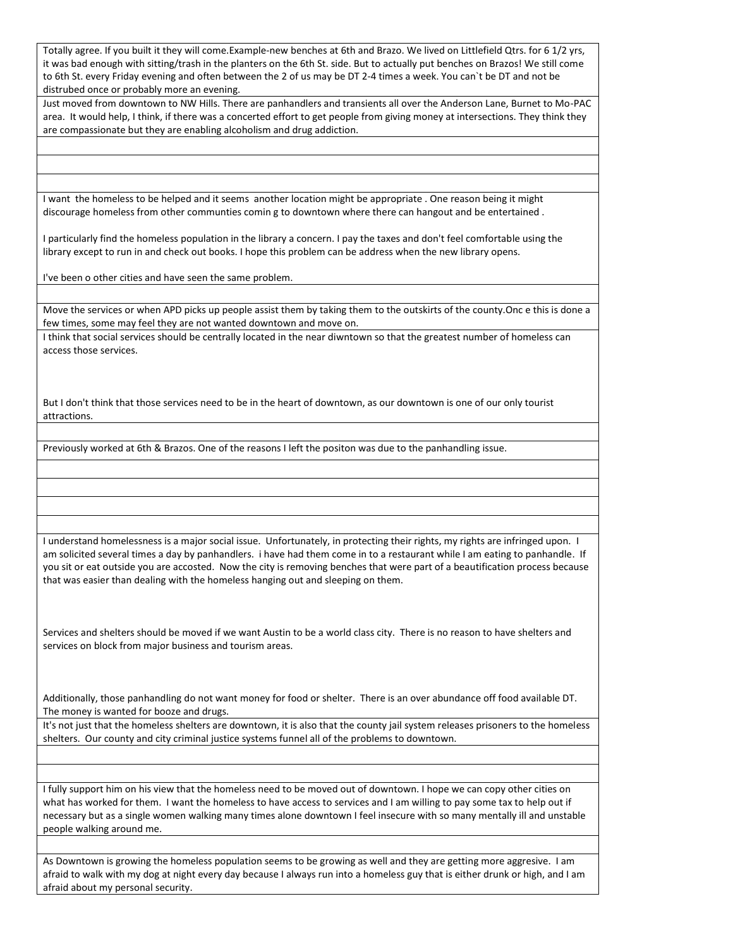Totally agree. If you built it they will come.Example-new benches at 6th and Brazo. We lived on Littlefield Qtrs. for 6 1/2 yrs, it was bad enough with sitting/trash in the planters on the 6th St. side. But to actually put benches on Brazos! We still come to 6th St. every Friday evening and often between the 2 of us may be DT 2-4 times a week. You can`t be DT and not be distrubed once or probably more an evening.

Just moved from downtown to NW Hills. There are panhandlers and transients all over the Anderson Lane, Burnet to Mo-PAC area. It would help, I think, if there was a concerted effort to get people from giving money at intersections. They think they are compassionate but they are enabling alcoholism and drug addiction.

I want the homeless to be helped and it seems another location might be appropriate . One reason being it might discourage homeless from other communties comin g to downtown where there can hangout and be entertained .

I particularly find the homeless population in the library a concern. I pay the taxes and don't feel comfortable using the library except to run in and check out books. I hope this problem can be address when the new library opens.

I've been o other cities and have seen the same problem.

Move the services or when APD picks up people assist them by taking them to the outskirts of the county.Onc e this is done a few times, some may feel they are not wanted downtown and move on.

I think that social services should be centrally located in the near diwntown so that the greatest number of homeless can access those services.

But I don't think that those services need to be in the heart of downtown, as our downtown is one of our only tourist attractions.

Previously worked at 6th & Brazos. One of the reasons I left the positon was due to the panhandling issue.

I understand homelessness is a major social issue. Unfortunately, in protecting their rights, my rights are infringed upon. I am solicited several times a day by panhandlers. i have had them come in to a restaurant while I am eating to panhandle. If you sit or eat outside you are accosted. Now the city is removing benches that were part of a beautification process because that was easier than dealing with the homeless hanging out and sleeping on them.

Services and shelters should be moved if we want Austin to be a world class city. There is no reason to have shelters and services on block from major business and tourism areas.

Additionally, those panhandling do not want money for food or shelter. There is an over abundance off food available DT. The money is wanted for booze and drugs.

It's not just that the homeless shelters are downtown, it is also that the county jail system releases prisoners to the homeless shelters. Our county and city criminal justice systems funnel all of the problems to downtown.

I fully support him on his view that the homeless need to be moved out of downtown. I hope we can copy other cities on what has worked for them. I want the homeless to have access to services and I am willing to pay some tax to help out if necessary but as a single women walking many times alone downtown I feel insecure with so many mentally ill and unstable people walking around me.

As Downtown is growing the homeless population seems to be growing as well and they are getting more aggresive. I am afraid to walk with my dog at night every day because I always run into a homeless guy that is either drunk or high, and I am afraid about my personal security.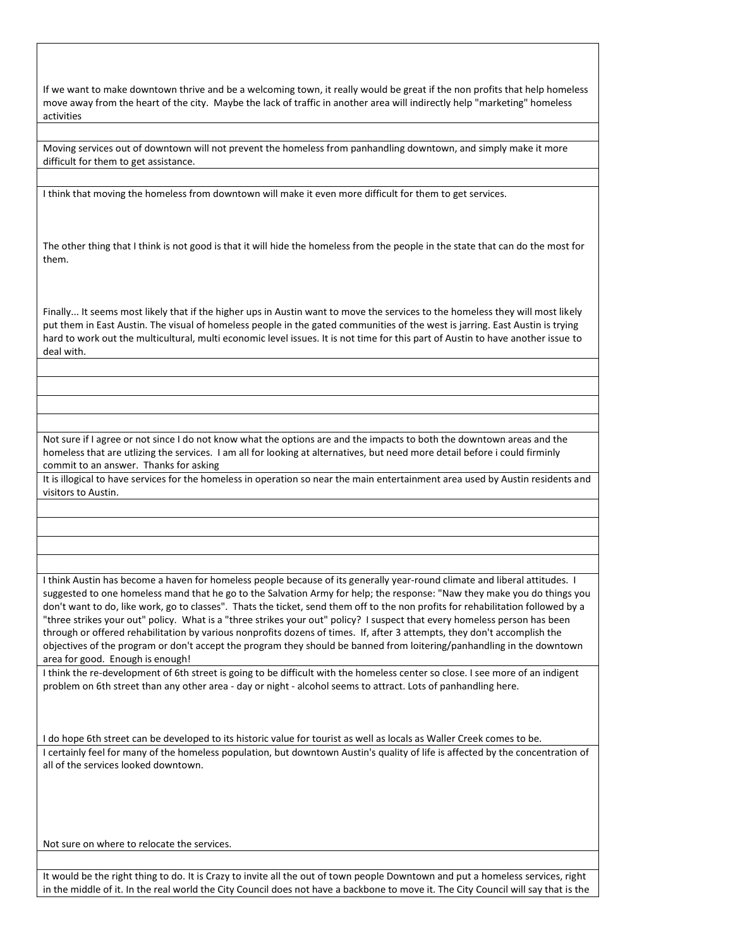If we want to make downtown thrive and be a welcoming town, it really would be great if the non profits that help homeless move away from the heart of the city. Maybe the lack of traffic in another area will indirectly help "marketing" homeless activities

Moving services out of downtown will not prevent the homeless from panhandling downtown, and simply make it more difficult for them to get assistance.

I think that moving the homeless from downtown will make it even more difficult for them to get services.

The other thing that I think is not good is that it will hide the homeless from the people in the state that can do the most for them.

Finally... It seems most likely that if the higher ups in Austin want to move the services to the homeless they will most likely put them in East Austin. The visual of homeless people in the gated communities of the west is jarring. East Austin is trying hard to work out the multicultural, multi economic level issues. It is not time for this part of Austin to have another issue to deal with.

Not sure if I agree or not since I do not know what the options are and the impacts to both the downtown areas and the homeless that are utlizing the services. I am all for looking at alternatives, but need more detail before i could firminly commit to an answer. Thanks for asking

It is illogical to have services for the homeless in operation so near the main entertainment area used by Austin residents and visitors to Austin.

I think Austin has become a haven for homeless people because of its generally year-round climate and liberal attitudes. I suggested to one homeless mand that he go to the Salvation Army for help; the response: "Naw they make you do things you don't want to do, like work, go to classes". Thats the ticket, send them off to the non profits for rehabilitation followed by a "three strikes your out" policy. What is a "three strikes your out" policy? I suspect that every homeless person has been through or offered rehabilitation by various nonprofits dozens of times. If, after 3 attempts, they don't accomplish the objectives of the program or don't accept the program they should be banned from loitering/panhandling in the downtown area for good. Enough is enough!

I think the re-development of 6th street is going to be difficult with the homeless center so close. I see more of an indigent problem on 6th street than any other area - day or night - alcohol seems to attract. Lots of panhandling here.

I do hope 6th street can be developed to its historic value for tourist as well as locals as Waller Creek comes to be.

I certainly feel for many of the homeless population, but downtown Austin's quality of life is affected by the concentration of all of the services looked downtown.

Not sure on where to relocate the services.

It would be the right thing to do. It is Crazy to invite all the out of town people Downtown and put a homeless services, right in the middle of it. In the real world the City Council does not have a backbone to move it. The City Council will say that is the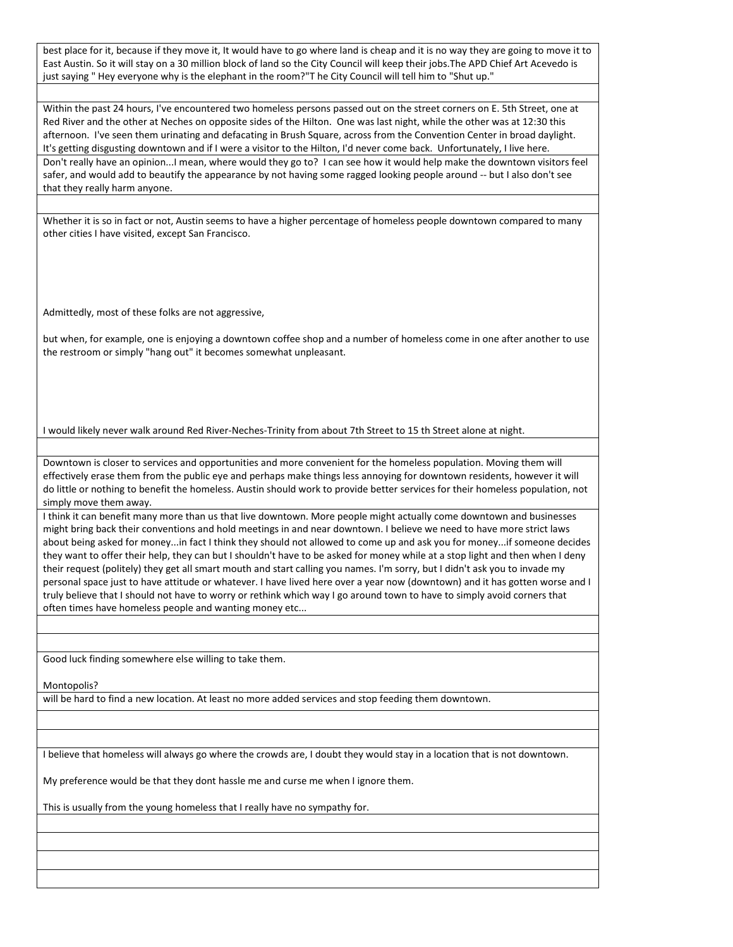best place for it, because if they move it, It would have to go where land is cheap and it is no way they are going to move it to East Austin. So it will stay on a 30 million block of land so the City Council will keep their jobs.The APD Chief Art Acevedo is just saying " Hey everyone why is the elephant in the room?"T he City Council will tell him to "Shut up."

Within the past 24 hours, I've encountered two homeless persons passed out on the street corners on E. 5th Street, one at Red River and the other at Neches on opposite sides of the Hilton. One was last night, while the other was at 12:30 this afternoon. I've seen them urinating and defacating in Brush Square, across from the Convention Center in broad daylight. It's getting disgusting downtown and if I were a visitor to the Hilton, I'd never come back. Unfortunately, I live here. Don't really have an opinion...I mean, where would they go to? I can see how it would help make the downtown visitors feel safer, and would add to beautify the appearance by not having some ragged looking people around -- but I also don't see that they really harm anyone.

Whether it is so in fact or not, Austin seems to have a higher percentage of homeless people downtown compared to many other cities I have visited, except San Francisco.

Admittedly, most of these folks are not aggressive,

but when, for example, one is enjoying a downtown coffee shop and a number of homeless come in one after another to use the restroom or simply "hang out" it becomes somewhat unpleasant.

I would likely never walk around Red River-Neches-Trinity from about 7th Street to 15 th Street alone at night.

Downtown is closer to services and opportunities and more convenient for the homeless population. Moving them will effectively erase them from the public eye and perhaps make things less annoying for downtown residents, however it will do little or nothing to benefit the homeless. Austin should work to provide better services for their homeless population, not simply move them away.

I think it can benefit many more than us that live downtown. More people might actually come downtown and businesses might bring back their conventions and hold meetings in and near downtown. I believe we need to have more strict laws about being asked for money...in fact I think they should not allowed to come up and ask you for money...if someone decides they want to offer their help, they can but I shouldn't have to be asked for money while at a stop light and then when I deny their request (politely) they get all smart mouth and start calling you names. I'm sorry, but I didn't ask you to invade my personal space just to have attitude or whatever. I have lived here over a year now (downtown) and it has gotten worse and I truly believe that I should not have to worry or rethink which way I go around town to have to simply avoid corners that often times have homeless people and wanting money etc...

Good luck finding somewhere else willing to take them.

Montopolis?

will be hard to find a new location. At least no more added services and stop feeding them downtown.

I believe that homeless will always go where the crowds are, I doubt they would stay in a location that is not downtown.

My preference would be that they dont hassle me and curse me when I ignore them.

This is usually from the young homeless that I really have no sympathy for.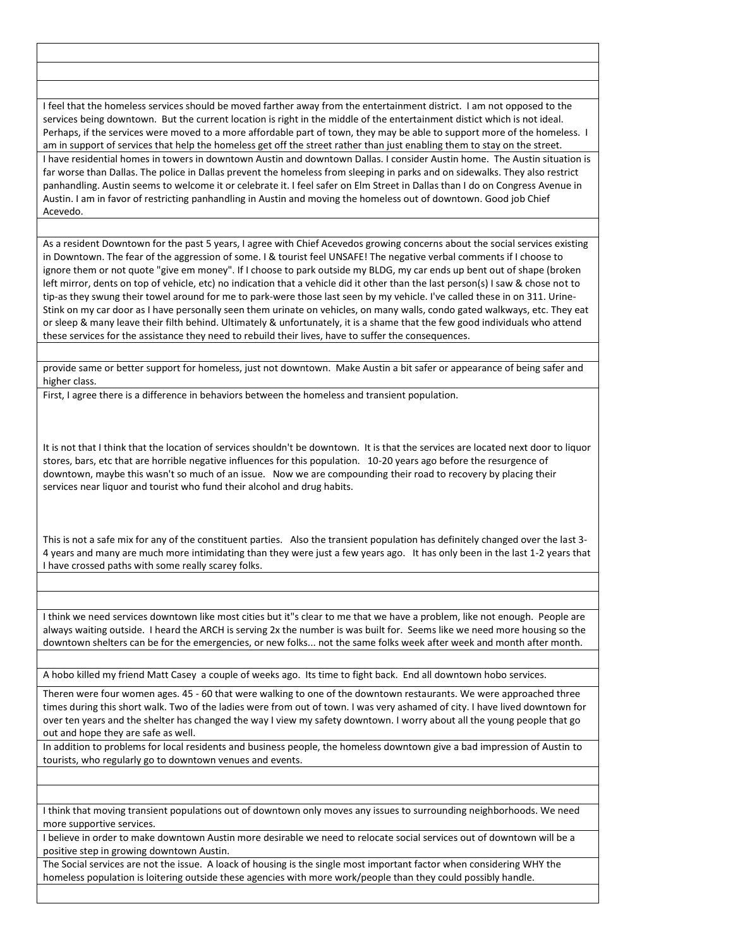I feel that the homeless services should be moved farther away from the entertainment district. I am not opposed to the services being downtown. But the current location is right in the middle of the entertainment distict which is not ideal. Perhaps, if the services were moved to a more affordable part of town, they may be able to support more of the homeless. I am in support of services that help the homeless get off the street rather than just enabling them to stay on the street. I have residential homes in towers in downtown Austin and downtown Dallas. I consider Austin home. The Austin situation is far worse than Dallas. The police in Dallas prevent the homeless from sleeping in parks and on sidewalks. They also restrict panhandling. Austin seems to welcome it or celebrate it. I feel safer on Elm Street in Dallas than I do on Congress Avenue in Austin. I am in favor of restricting panhandling in Austin and moving the homeless out of downtown. Good job Chief Acevedo.

As a resident Downtown for the past 5 years, I agree with Chief Acevedos growing concerns about the social services existing in Downtown. The fear of the aggression of some. I & tourist feel UNSAFE! The negative verbal comments if I choose to ignore them or not quote "give em money". If I choose to park outside my BLDG, my car ends up bent out of shape (broken left mirror, dents on top of vehicle, etc) no indication that a vehicle did it other than the last person(s) I saw & chose not to tip-as they swung their towel around for me to park-were those last seen by my vehicle. I've called these in on 311. Urine-Stink on my car door as I have personally seen them urinate on vehicles, on many walls, condo gated walkways, etc. They eat or sleep & many leave their filth behind. Ultimately & unfortunately, it is a shame that the few good individuals who attend these services for the assistance they need to rebuild their lives, have to suffer the consequences.

provide same or better support for homeless, just not downtown. Make Austin a bit safer or appearance of being safer and higher class.

First, I agree there is a difference in behaviors between the homeless and transient population.

It is not that I think that the location of services shouldn't be downtown. It is that the services are located next door to liquor stores, bars, etc that are horrible negative influences for this population. 10-20 years ago before the resurgence of downtown, maybe this wasn't so much of an issue. Now we are compounding their road to recovery by placing their services near liquor and tourist who fund their alcohol and drug habits.

This is not a safe mix for any of the constituent parties. Also the transient population has definitely changed over the last 3- 4 years and many are much more intimidating than they were just a few years ago. It has only been in the last 1-2 years that I have crossed paths with some really scarey folks.

I think we need services downtown like most cities but it"s clear to me that we have a problem, like not enough. People are always waiting outside. I heard the ARCH is serving 2x the number is was built for. Seems like we need more housing so the downtown shelters can be for the emergencies, or new folks... not the same folks week after week and month after month.

A hobo killed my friend Matt Casey a couple of weeks ago. Its time to fight back. End all downtown hobo services.

Theren were four women ages. 45 - 60 that were walking to one of the downtown restaurants. We were approached three times during this short walk. Two of the ladies were from out of town. I was very ashamed of city. I have lived downtown for over ten years and the shelter has changed the way I view my safety downtown. I worry about all the young people that go out and hope they are safe as well.

In addition to problems for local residents and business people, the homeless downtown give a bad impression of Austin to tourists, who regularly go to downtown venues and events.

I think that moving transient populations out of downtown only moves any issues to surrounding neighborhoods. We need more supportive services.

I believe in order to make downtown Austin more desirable we need to relocate social services out of downtown will be a positive step in growing downtown Austin.

The Social services are not the issue. A loack of housing is the single most important factor when considering WHY the homeless population is loitering outside these agencies with more work/people than they could possibly handle.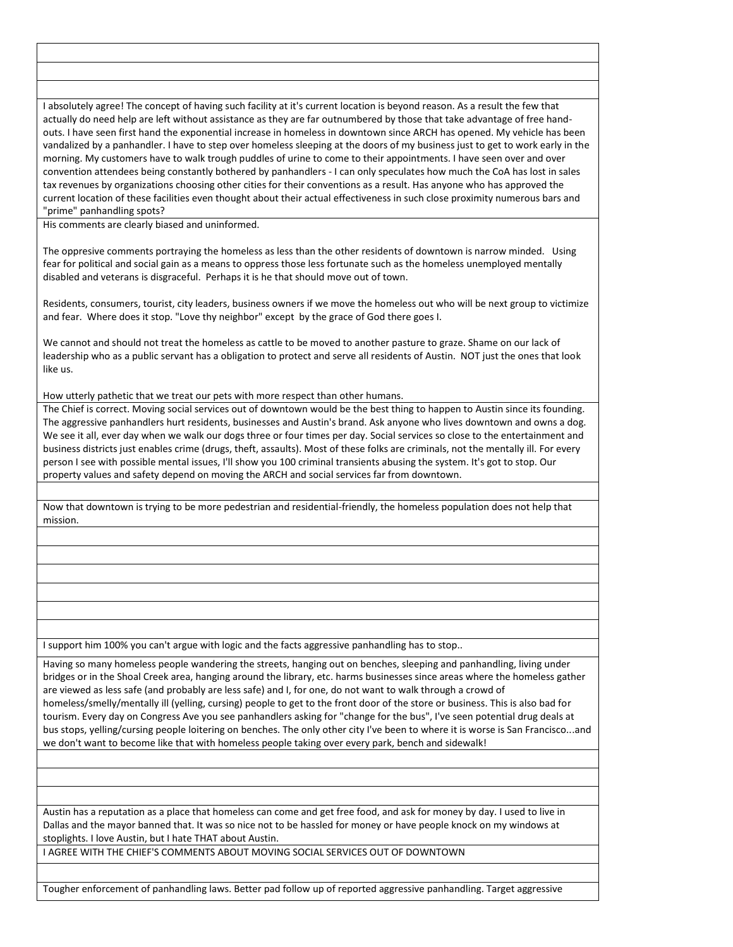I absolutely agree! The concept of having such facility at it's current location is beyond reason. As a result the few that actually do need help are left without assistance as they are far outnumbered by those that take advantage of free handouts. I have seen first hand the exponential increase in homeless in downtown since ARCH has opened. My vehicle has been vandalized by a panhandler. I have to step over homeless sleeping at the doors of my business just to get to work early in the morning. My customers have to walk trough puddles of urine to come to their appointments. I have seen over and over convention attendees being constantly bothered by panhandlers - I can only speculates how much the CoA has lost in sales tax revenues by organizations choosing other cities for their conventions as a result. Has anyone who has approved the current location of these facilities even thought about their actual effectiveness in such close proximity numerous bars and "prime" panhandling spots?

His comments are clearly biased and uninformed.

The oppresive comments portraying the homeless as less than the other residents of downtown is narrow minded. Using fear for political and social gain as a means to oppress those less fortunate such as the homeless unemployed mentally disabled and veterans is disgraceful. Perhaps it is he that should move out of town.

Residents, consumers, tourist, city leaders, business owners if we move the homeless out who will be next group to victimize and fear. Where does it stop. "Love thy neighbor" except by the grace of God there goes I.

We cannot and should not treat the homeless as cattle to be moved to another pasture to graze. Shame on our lack of leadership who as a public servant has a obligation to protect and serve all residents of Austin. NOT just the ones that look like us.

How utterly pathetic that we treat our pets with more respect than other humans.

The Chief is correct. Moving social services out of downtown would be the best thing to happen to Austin since its founding. The aggressive panhandlers hurt residents, businesses and Austin's brand. Ask anyone who lives downtown and owns a dog. We see it all, ever day when we walk our dogs three or four times per day. Social services so close to the entertainment and business districts just enables crime (drugs, theft, assaults). Most of these folks are criminals, not the mentally ill. For every person I see with possible mental issues, I'll show you 100 criminal transients abusing the system. It's got to stop. Our property values and safety depend on moving the ARCH and social services far from downtown.

Now that downtown is trying to be more pedestrian and residential-friendly, the homeless population does not help that mission.

I support him 100% you can't argue with logic and the facts aggressive panhandling has to stop..

Having so many homeless people wandering the streets, hanging out on benches, sleeping and panhandling, living under bridges or in the Shoal Creek area, hanging around the library, etc. harms businesses since areas where the homeless gather are viewed as less safe (and probably are less safe) and I, for one, do not want to walk through a crowd of homeless/smelly/mentally ill (yelling, cursing) people to get to the front door of the store or business. This is also bad for tourism. Every day on Congress Ave you see panhandlers asking for "change for the bus", I've seen potential drug deals at bus stops, yelling/cursing people loitering on benches. The only other city I've been to where it is worse is San Francisco...and we don't want to become like that with homeless people taking over every park, bench and sidewalk!

Austin has a reputation as a place that homeless can come and get free food, and ask for money by day. I used to live in Dallas and the mayor banned that. It was so nice not to be hassled for money or have people knock on my windows at stoplights. I love Austin, but I hate THAT about Austin.

I AGREE WITH THE CHIEF'S COMMENTS ABOUT MOVING SOCIAL SERVICES OUT OF DOWNTOWN

Tougher enforcement of panhandling laws. Better pad follow up of reported aggressive panhandling. Target aggressive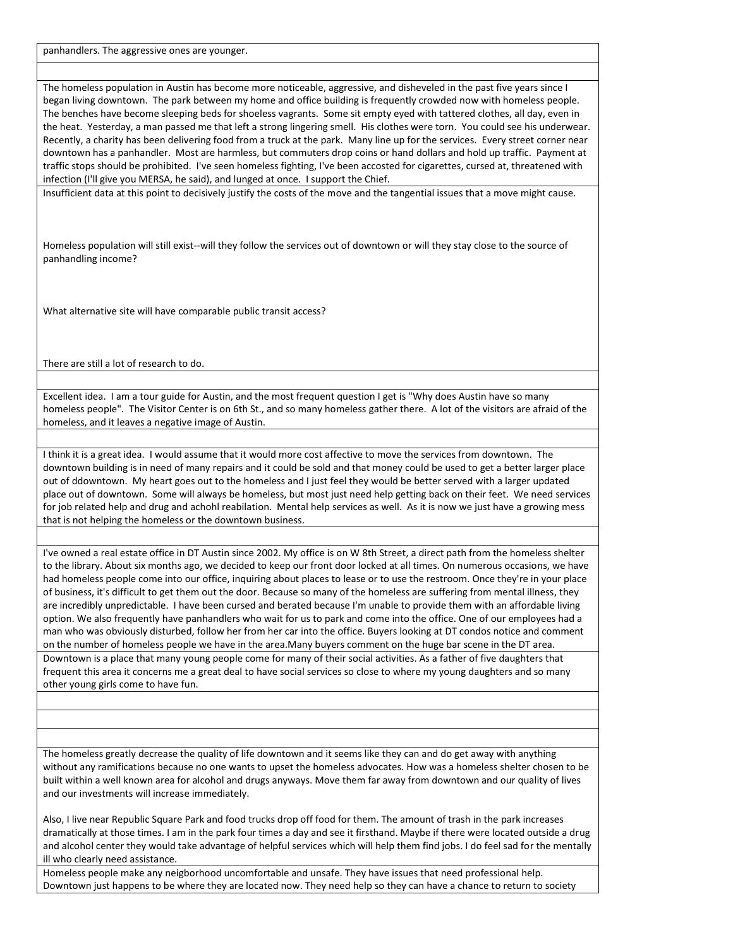panhandlers. The aggressive ones are younger.

The homeless population in Austin has become more noticeable, aggressive, and disheveled in the past five years since I began living downtown. The park between my home and office building is frequently crowded now with homeless people. The benches have become sleeping beds for shoeless vagrants. Some sit empty eyed with tattered clothes, all day, even in the heat. Yesterday, a man passed me that left a strong lingering smell. His clothes were torn. You could see his underwear. Recently, a charity has been delivering food from a truck at the park. Many line up for the services. Every street corner near downtown has a panhandler. Most are harmless, but commuters drop coins or hand dollars and hold up traffic. Payment at traffic stops should be prohibited. I've seen homeless fighting, I've been accosted for cigarettes, cursed at, threatened with infection (I'll give you MERSA, he said), and lunged at once. I support the Chief.

Insufficient data at this point to decisively justify the costs of the move and the tangential issues that a move might cause.

Homeless population will still exist--will they follow the services out of downtown or will they stay close to the source of panhandling income?

What alternative site will have comparable public transit access?

There are still a lot of research to do.

Excellent idea. I am a tour guide for Austin, and the most frequent question I get is "Why does Austin have so many homeless people". The Visitor Center is on 6th St., and so many homeless gather there. A lot of the visitors are afraid of the homeless, and it leaves a negative image of Austin.

I think it is a great idea. I would assume that it would more cost affective to move the services from downtown. The downtown building is in need of many repairs and it could be sold and that money could be used to get a better larger place out of ddowntown. My heart goes out to the homeless and I just feel they would be better served with a larger updated place out of downtown. Some will always be homeless, but most just need help getting back on their feet. We need services for job related help and drug and achohl reabilation. Mental help services as well. As it is now we just have a growing mess that is not helping the homeless or the downtown business.

I've owned a real estate office in DT Austin since 2002. My office is on W 8th Street, a direct path from the homeless shelter to the library. About six months ago, we decided to keep our front door locked at all times. On numerous occasions, we have had homeless people come into our office, inquiring about places to lease or to use the restroom. Once they're in your place of business, it's difficult to get them out the door. Because so many of the homeless are suffering from mental illness, they are incredibly unpredictable. I have been cursed and berated because I'm unable to provide them with an affordable living option. We also frequently have panhandlers who wait for us to park and come into the office. One of our employees had a man who was obviously disturbed, follow her from her car into the office. Buyers looking at DT condos notice and comment on the number of homeless people we have in the area.Many buyers comment on the huge bar scene in the DT area. Downtown is a place that many young people come for many of their social activities. As a father of five daughters that frequent this area it concerns me a great deal to have social services so close to where my young daughters and so many other young girls come to have fun.

The homeless greatly decrease the quality of life downtown and it seems like they can and do get away with anything without any ramifications because no one wants to upset the homeless advocates. How was a homeless shelter chosen to be built within a well known area for alcohol and drugs anyways. Move them far away from downtown and our quality of lives and our investments will increase immediately.

Also, I live near Republic Square Park and food trucks drop off food for them. The amount of trash in the park increases dramatically at those times. I am in the park four times a day and see it firsthand. Maybe if there were located outside a drug and alcohol center they would take advantage of helpful services which will help them find jobs. I do feel sad for the mentally ill who clearly need assistance.

Homeless people make any neigborhood uncomfortable and unsafe. They have issues that need professional help. Downtown just happens to be where they are located now. They need help so they can have a chance to return to society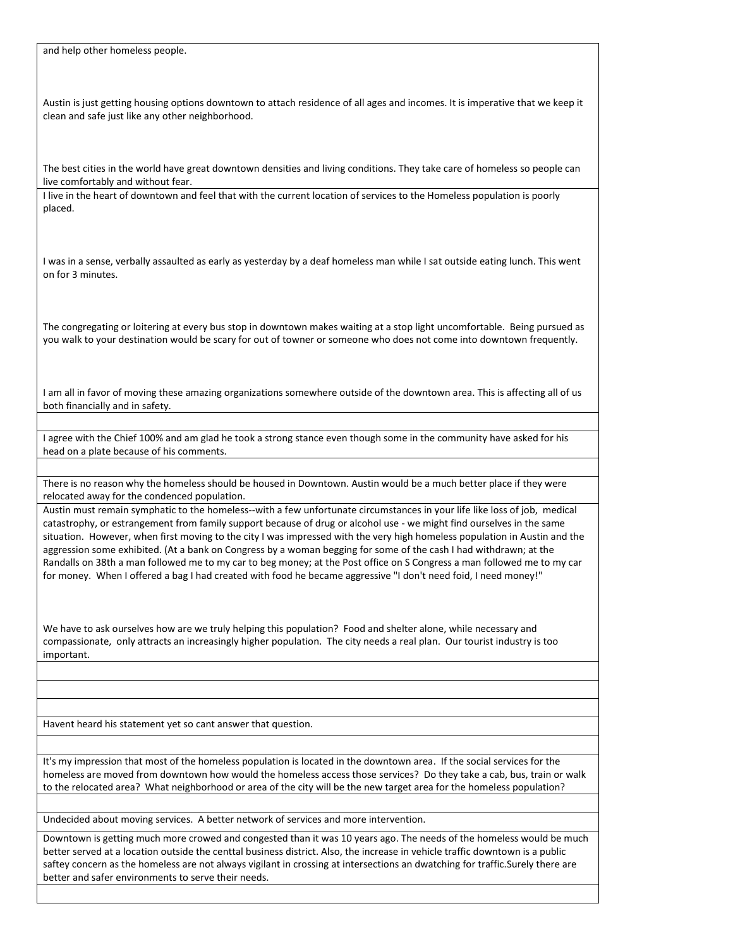and help other homeless people.

Austin is just getting housing options downtown to attach residence of all ages and incomes. It is imperative that we keep it clean and safe just like any other neighborhood.

The best cities in the world have great downtown densities and living conditions. They take care of homeless so people can live comfortably and without fear.

I live in the heart of downtown and feel that with the current location of services to the Homeless population is poorly placed.

I was in a sense, verbally assaulted as early as yesterday by a deaf homeless man while I sat outside eating lunch. This went on for 3 minutes.

The congregating or loitering at every bus stop in downtown makes waiting at a stop light uncomfortable. Being pursued as you walk to your destination would be scary for out of towner or someone who does not come into downtown frequently.

I am all in favor of moving these amazing organizations somewhere outside of the downtown area. This is affecting all of us both financially and in safety.

I agree with the Chief 100% and am glad he took a strong stance even though some in the community have asked for his head on a plate because of his comments.

There is no reason why the homeless should be housed in Downtown. Austin would be a much better place if they were relocated away for the condenced population.

Austin must remain symphatic to the homeless--with a few unfortunate circumstances in your life like loss of job, medical catastrophy, or estrangement from family support because of drug or alcohol use - we might find ourselves in the same situation. However, when first moving to the city I was impressed with the very high homeless population in Austin and the aggression some exhibited. (At a bank on Congress by a woman begging for some of the cash I had withdrawn; at the Randalls on 38th a man followed me to my car to beg money; at the Post office on S Congress a man followed me to my car for money. When I offered a bag I had created with food he became aggressive "I don't need foid, I need money!"

We have to ask ourselves how are we truly helping this population? Food and shelter alone, while necessary and compassionate, only attracts an increasingly higher population. The city needs a real plan. Our tourist industry is too important.

Havent heard his statement yet so cant answer that question.

It's my impression that most of the homeless population is located in the downtown area. If the social services for the homeless are moved from downtown how would the homeless access those services? Do they take a cab, bus, train or walk to the relocated area? What neighborhood or area of the city will be the new target area for the homeless population?

Undecided about moving services. A better network of services and more intervention.

Downtown is getting much more crowed and congested than it was 10 years ago. The needs of the homeless would be much better served at a location outside the centtal business district. Also, the increase in vehicle traffic downtown is a public saftey concern as the homeless are not always vigilant in crossing at intersections an dwatching for traffic.Surely there are better and safer environments to serve their needs.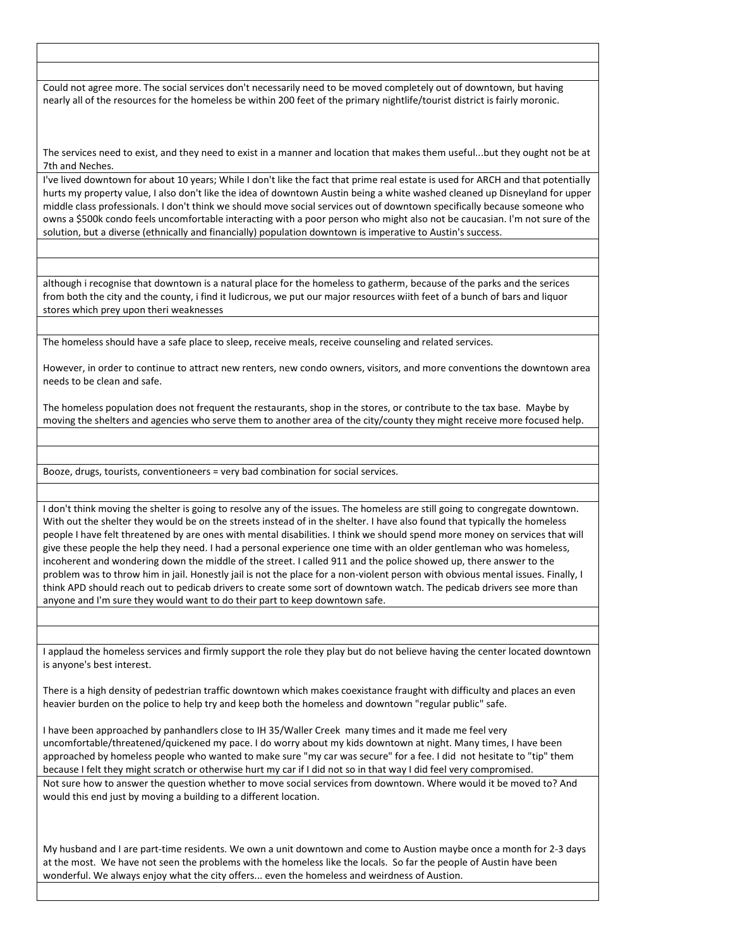Could not agree more. The social services don't necessarily need to be moved completely out of downtown, but having nearly all of the resources for the homeless be within 200 feet of the primary nightlife/tourist district is fairly moronic.

The services need to exist, and they need to exist in a manner and location that makes them useful...but they ought not be at 7th and Neches.

I've lived downtown for about 10 years; While I don't like the fact that prime real estate is used for ARCH and that potentially hurts my property value, I also don't like the idea of downtown Austin being a white washed cleaned up Disneyland for upper middle class professionals. I don't think we should move social services out of downtown specifically because someone who owns a \$500k condo feels uncomfortable interacting with a poor person who might also not be caucasian. I'm not sure of the solution, but a diverse (ethnically and financially) population downtown is imperative to Austin's success.

although i recognise that downtown is a natural place for the homeless to gatherm, because of the parks and the serices from both the city and the county, i find it ludicrous, we put our major resources wiith feet of a bunch of bars and liquor stores which prey upon theri weaknesses

The homeless should have a safe place to sleep, receive meals, receive counseling and related services.

However, in order to continue to attract new renters, new condo owners, visitors, and more conventions the downtown area needs to be clean and safe.

The homeless population does not frequent the restaurants, shop in the stores, or contribute to the tax base. Maybe by moving the shelters and agencies who serve them to another area of the city/county they might receive more focused help.

Booze, drugs, tourists, conventioneers = very bad combination for social services.

I don't think moving the shelter is going to resolve any of the issues. The homeless are still going to congregate downtown. With out the shelter they would be on the streets instead of in the shelter. I have also found that typically the homeless people I have felt threatened by are ones with mental disabilities. I think we should spend more money on services that will give these people the help they need. I had a personal experience one time with an older gentleman who was homeless, incoherent and wondering down the middle of the street. I called 911 and the police showed up, there answer to the problem was to throw him in jail. Honestly jail is not the place for a non-violent person with obvious mental issues. Finally, I think APD should reach out to pedicab drivers to create some sort of downtown watch. The pedicab drivers see more than anyone and I'm sure they would want to do their part to keep downtown safe.

I applaud the homeless services and firmly support the role they play but do not believe having the center located downtown is anyone's best interest.

There is a high density of pedestrian traffic downtown which makes coexistance fraught with difficulty and places an even heavier burden on the police to help try and keep both the homeless and downtown "regular public" safe.

I have been approached by panhandlers close to IH 35/Waller Creek many times and it made me feel very uncomfortable/threatened/quickened my pace. I do worry about my kids downtown at night. Many times, I have been approached by homeless people who wanted to make sure "my car was secure" for a fee. I did not hesitate to "tip" them because I felt they might scratch or otherwise hurt my car if I did not so in that way I did feel very compromised. Not sure how to answer the question whether to move social services from downtown. Where would it be moved to? And would this end just by moving a building to a different location.

My husband and I are part-time residents. We own a unit downtown and come to Austion maybe once a month for 2-3 days at the most. We have not seen the problems with the homeless like the locals. So far the people of Austin have been wonderful. We always enjoy what the city offers... even the homeless and weirdness of Austion.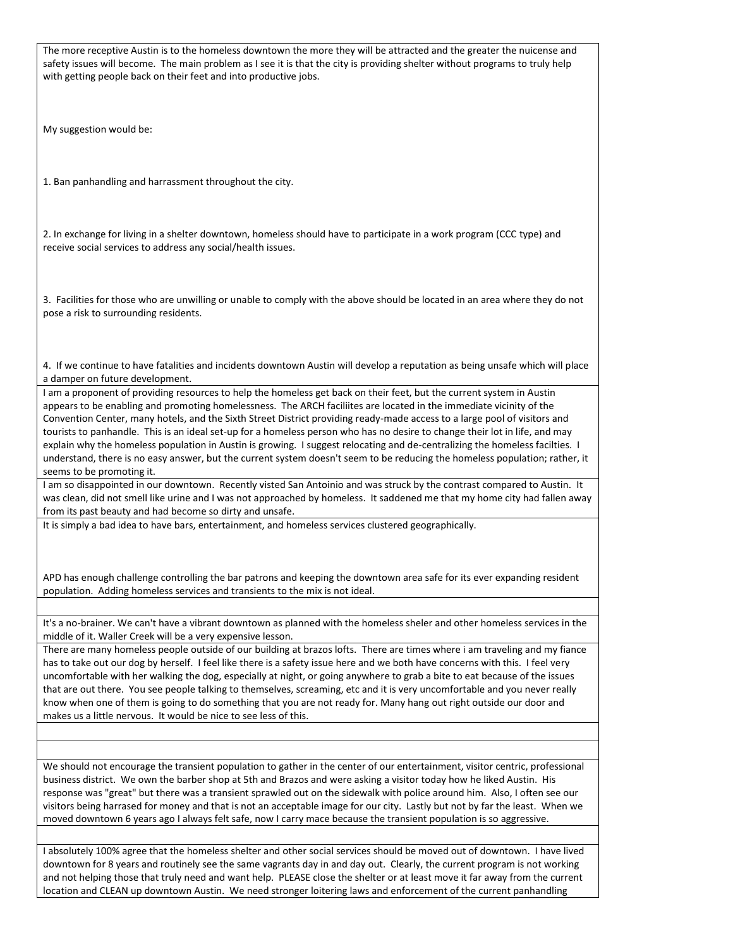The more receptive Austin is to the homeless downtown the more they will be attracted and the greater the nuicense and safety issues will become. The main problem as I see it is that the city is providing shelter without programs to truly help with getting people back on their feet and into productive jobs. My suggestion would be: 1. Ban panhandling and harrassment throughout the city. 2. In exchange for living in a shelter downtown, homeless should have to participate in a work program (CCC type) and receive social services to address any social/health issues. 3. Facilities for those who are unwilling or unable to comply with the above should be located in an area where they do not pose a risk to surrounding residents. 4. If we continue to have fatalities and incidents downtown Austin will develop a reputation as being unsafe which will place a damper on future development. I am a proponent of providing resources to help the homeless get back on their feet, but the current system in Austin appears to be enabling and promoting homelessness. The ARCH faciliites are located in the immediate vicinity of the Convention Center, many hotels, and the Sixth Street District providing ready-made access to a large pool of visitors and tourists to panhandle. This is an ideal set-up for a homeless person who has no desire to change their lot in life, and may explain why the homeless population in Austin is growing. I suggest relocating and de-centralizing the homeless facilties. I understand, there is no easy answer, but the current system doesn't seem to be reducing the homeless population; rather, it seems to be promoting it. I am so disappointed in our downtown. Recently visted San Antoinio and was struck by the contrast compared to Austin. It was clean, did not smell like urine and I was not approached by homeless. It saddened me that my home city had fallen away from its past beauty and had become so dirty and unsafe. It is simply a bad idea to have bars, entertainment, and homeless services clustered geographically. APD has enough challenge controlling the bar patrons and keeping the downtown area safe for its ever expanding resident population. Adding homeless services and transients to the mix is not ideal. It's a no-brainer. We can't have a vibrant downtown as planned with the homeless sheler and other homeless services in the middle of it. Waller Creek will be a very expensive lesson. There are many homeless people outside of our building at brazos lofts. There are times where i am traveling and my fiance has to take out our dog by herself. I feel like there is a safety issue here and we both have concerns with this. I feel very uncomfortable with her walking the dog, especially at night, or going anywhere to grab a bite to eat because of the issues that are out there. You see people talking to themselves, screaming, etc and it is very uncomfortable and you never really know when one of them is going to do something that you are not ready for. Many hang out right outside our door and makes us a little nervous. It would be nice to see less of this. We should not encourage the transient population to gather in the center of our entertainment, visitor centric, professional business district. We own the barber shop at 5th and Brazos and were asking a visitor today how he liked Austin. His response was "great" but there was a transient sprawled out on the sidewalk with police around him. Also, I often see our visitors being harrased for money and that is not an acceptable image for our city. Lastly but not by far the least. When we moved downtown 6 years ago I always felt safe, now I carry mace because the transient population is so aggressive.

I absolutely 100% agree that the homeless shelter and other social services should be moved out of downtown. I have lived downtown for 8 years and routinely see the same vagrants day in and day out. Clearly, the current program is not working and not helping those that truly need and want help. PLEASE close the shelter or at least move it far away from the current location and CLEAN up downtown Austin. We need stronger loitering laws and enforcement of the current panhandling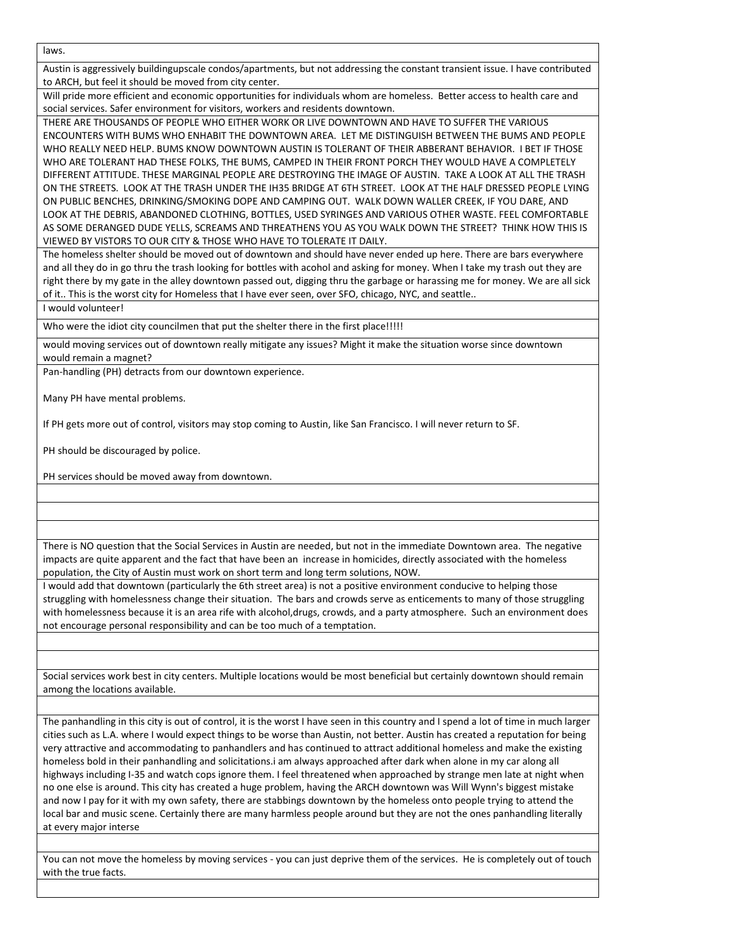laws.

Austin is aggressively buildingupscale condos/apartments, but not addressing the constant transient issue. I have contributed to ARCH, but feel it should be moved from city center.

Will pride more efficient and economic opportunities for individuals whom are homeless. Better access to health care and social services. Safer environment for visitors, workers and residents downtown.

THERE ARE THOUSANDS OF PEOPLE WHO EITHER WORK OR LIVE DOWNTOWN AND HAVE TO SUFFER THE VARIOUS ENCOUNTERS WITH BUMS WHO ENHABIT THE DOWNTOWN AREA. LET ME DISTINGUISH BETWEEN THE BUMS AND PEOPLE WHO REALLY NEED HELP. BUMS KNOW DOWNTOWN AUSTIN IS TOLERANT OF THEIR ABBERANT BEHAVIOR. I BET IF THOSE WHO ARE TOLERANT HAD THESE FOLKS, THE BUMS, CAMPED IN THEIR FRONT PORCH THEY WOULD HAVE A COMPLETELY DIFFERENT ATTITUDE. THESE MARGINAL PEOPLE ARE DESTROYING THE IMAGE OF AUSTIN. TAKE A LOOK AT ALL THE TRASH ON THE STREETS. LOOK AT THE TRASH UNDER THE IH35 BRIDGE AT 6TH STREET. LOOK AT THE HALF DRESSED PEOPLE LYING ON PUBLIC BENCHES, DRINKING/SMOKING DOPE AND CAMPING OUT. WALK DOWN WALLER CREEK, IF YOU DARE, AND LOOK AT THE DEBRIS, ABANDONED CLOTHING, BOTTLES, USED SYRINGES AND VARIOUS OTHER WASTE. FEEL COMFORTABLE AS SOME DERANGED DUDE YELLS, SCREAMS AND THREATHENS YOU AS YOU WALK DOWN THE STREET? THINK HOW THIS IS VIEWED BY VISTORS TO OUR CITY & THOSE WHO HAVE TO TOLERATE IT DAILY.

The homeless shelter should be moved out of downtown and should have never ended up here. There are bars everywhere and all they do in go thru the trash looking for bottles with acohol and asking for money. When I take my trash out they are right there by my gate in the alley downtown passed out, digging thru the garbage or harassing me for money. We are all sick of it.. This is the worst city for Homeless that I have ever seen, over SFO, chicago, NYC, and seattle..

I would volunteer!

Who were the idiot city councilmen that put the shelter there in the first place!!!!!

would moving services out of downtown really mitigate any issues? Might it make the situation worse since downtown would remain a magnet?

Pan-handling (PH) detracts from our downtown experience.

Many PH have mental problems.

If PH gets more out of control, visitors may stop coming to Austin, like San Francisco. I will never return to SF.

PH should be discouraged by police.

PH services should be moved away from downtown.

There is NO question that the Social Services in Austin are needed, but not in the immediate Downtown area. The negative impacts are quite apparent and the fact that have been an increase in homicides, directly associated with the homeless population, the City of Austin must work on short term and long term solutions, NOW.

I would add that downtown (particularly the 6th street area) is not a positive environment conducive to helping those struggling with homelessness change their situation. The bars and crowds serve as enticements to many of those struggling with homelessness because it is an area rife with alcohol,drugs, crowds, and a party atmosphere. Such an environment does not encourage personal responsibility and can be too much of a temptation.

Social services work best in city centers. Multiple locations would be most beneficial but certainly downtown should remain among the locations available.

The panhandling in this city is out of control, it is the worst I have seen in this country and I spend a lot of time in much larger cities such as L.A. where I would expect things to be worse than Austin, not better. Austin has created a reputation for being very attractive and accommodating to panhandlers and has continued to attract additional homeless and make the existing homeless bold in their panhandling and solicitations.i am always approached after dark when alone in my car along all highways including I-35 and watch cops ignore them. I feel threatened when approached by strange men late at night when no one else is around. This city has created a huge problem, having the ARCH downtown was Will Wynn's biggest mistake and now I pay for it with my own safety, there are stabbings downtown by the homeless onto people trying to attend the local bar and music scene. Certainly there are many harmless people around but they are not the ones panhandling literally at every major interse

You can not move the homeless by moving services - you can just deprive them of the services. He is completely out of touch with the true facts.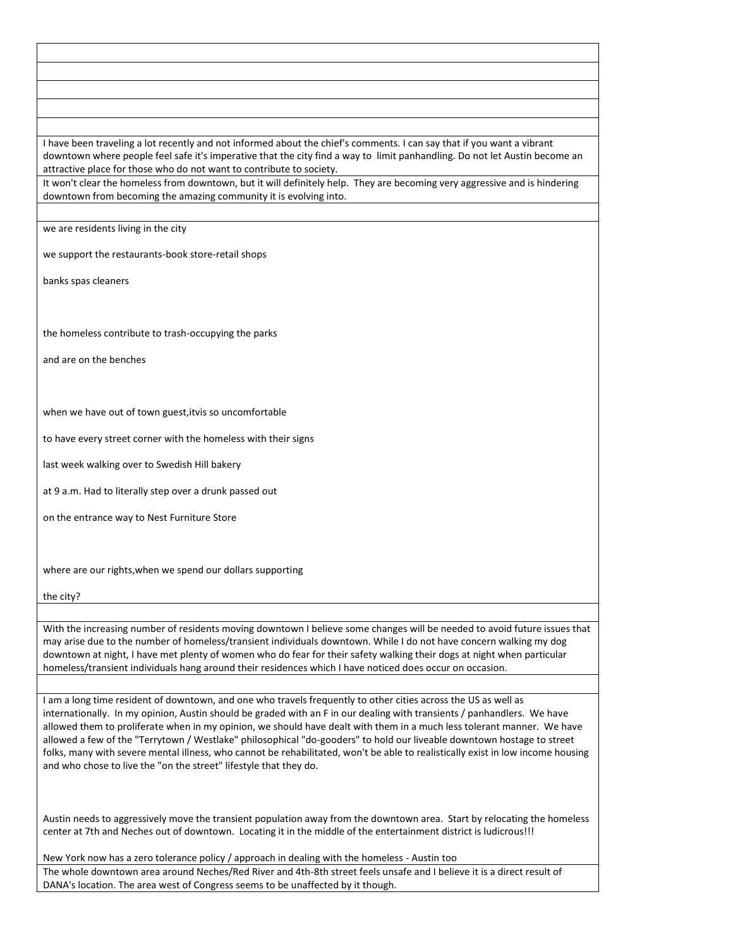I have been traveling a lot recently and not informed about the chief's comments. I can say that if you want a vibrant downtown where people feel safe it's imperative that the city find a way to limit panhandling. Do not let Austin become an attractive place for those who do not want to contribute to society.

It won't clear the homeless from downtown, but it will definitely help. They are becoming very aggressive and is hindering downtown from becoming the amazing community it is evolving into.

we are residents living in the city

we support the restaurants-book store-retail shops

banks spas cleaners

the homeless contribute to trash-occupying the parks

and are on the benches

when we have out of town guest,itvis so uncomfortable

to have every street corner with the homeless with their signs

last week walking over to Swedish Hill bakery

at 9 a.m. Had to literally step over a drunk passed out

on the entrance way to Nest Furniture Store

where are our rights,when we spend our dollars supporting

the city?

With the increasing number of residents moving downtown I believe some changes will be needed to avoid future issues that may arise due to the number of homeless/transient individuals downtown. While I do not have concern walking my dog downtown at night, I have met plenty of women who do fear for their safety walking their dogs at night when particular homeless/transient individuals hang around their residences which I have noticed does occur on occasion.

I am a long time resident of downtown, and one who travels frequently to other cities across the US as well as internationally. In my opinion, Austin should be graded with an F in our dealing with transients / panhandlers. We have allowed them to proliferate when in my opinion, we should have dealt with them in a much less tolerant manner. We have allowed a few of the "Terrytown / Westlake" philosophical "do-gooders" to hold our liveable downtown hostage to street folks, many with severe mental illness, who cannot be rehabilitated, won't be able to realistically exist in low income housing and who chose to live the "on the street" lifestyle that they do.

Austin needs to aggressively move the transient population away from the downtown area. Start by relocating the homeless center at 7th and Neches out of downtown. Locating it in the middle of the entertainment district is ludicrous!!!

New York now has a zero tolerance policy / approach in dealing with the homeless - Austin too The whole downtown area around Neches/Red River and 4th-8th street feels unsafe and I believe it is a direct result of DANA's location. The area west of Congress seems to be unaffected by it though.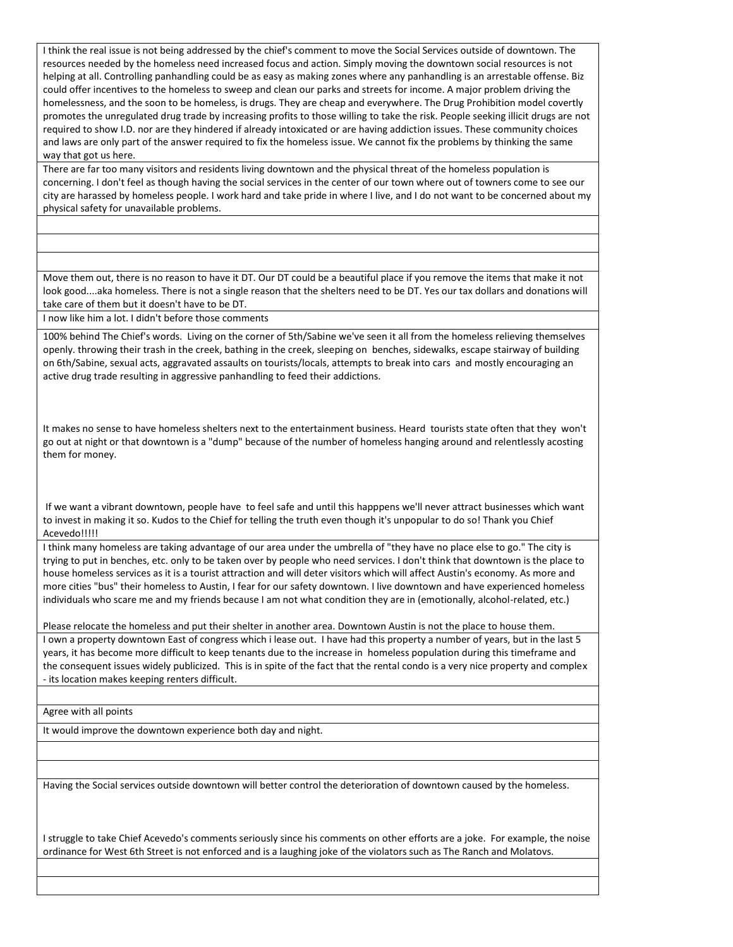I think the real issue is not being addressed by the chief's comment to move the Social Services outside of downtown. The resources needed by the homeless need increased focus and action. Simply moving the downtown social resources is not helping at all. Controlling panhandling could be as easy as making zones where any panhandling is an arrestable offense. Biz could offer incentives to the homeless to sweep and clean our parks and streets for income. A major problem driving the homelessness, and the soon to be homeless, is drugs. They are cheap and everywhere. The Drug Prohibition model covertly promotes the unregulated drug trade by increasing profits to those willing to take the risk. People seeking illicit drugs are not required to show I.D. nor are they hindered if already intoxicated or are having addiction issues. These community choices and laws are only part of the answer required to fix the homeless issue. We cannot fix the problems by thinking the same way that got us here.

There are far too many visitors and residents living downtown and the physical threat of the homeless population is concerning. I don't feel as though having the social services in the center of our town where out of towners come to see our city are harassed by homeless people. I work hard and take pride in where I live, and I do not want to be concerned about my physical safety for unavailable problems.

Move them out, there is no reason to have it DT. Our DT could be a beautiful place if you remove the items that make it not look good....aka homeless. There is not a single reason that the shelters need to be DT. Yes our tax dollars and donations will take care of them but it doesn't have to be DT.

I now like him a lot. I didn't before those comments

100% behind The Chief's words. Living on the corner of 5th/Sabine we've seen it all from the homeless relieving themselves openly. throwing their trash in the creek, bathing in the creek, sleeping on benches, sidewalks, escape stairway of building on 6th/Sabine, sexual acts, aggravated assaults on tourists/locals, attempts to break into cars and mostly encouraging an active drug trade resulting in aggressive panhandling to feed their addictions.

It makes no sense to have homeless shelters next to the entertainment business. Heard tourists state often that they won't go out at night or that downtown is a "dump" because of the number of homeless hanging around and relentlessly acosting them for money.

If we want a vibrant downtown, people have to feel safe and until this happpens we'll never attract businesses which want to invest in making it so. Kudos to the Chief for telling the truth even though it's unpopular to do so! Thank you Chief Acevedo!!!!!

I think many homeless are taking advantage of our area under the umbrella of "they have no place else to go." The city is trying to put in benches, etc. only to be taken over by people who need services. I don't think that downtown is the place to house homeless services as it is a tourist attraction and will deter visitors which will affect Austin's economy. As more and more cities "bus" their homeless to Austin, I fear for our safety downtown. I live downtown and have experienced homeless individuals who scare me and my friends because I am not what condition they are in (emotionally, alcohol-related, etc.)

Please relocate the homeless and put their shelter in another area. Downtown Austin is not the place to house them.

I own a property downtown East of congress which i lease out. I have had this property a number of years, but in the last 5 years, it has become more difficult to keep tenants due to the increase in homeless population during this timeframe and the consequent issues widely publicized. This is in spite of the fact that the rental condo is a very nice property and complex - its location makes keeping renters difficult.

Agree with all points

It would improve the downtown experience both day and night.

Having the Social services outside downtown will better control the deterioration of downtown caused by the homeless.

I struggle to take Chief Acevedo's comments seriously since his comments on other efforts are a joke. For example, the noise ordinance for West 6th Street is not enforced and is a laughing joke of the violators such as The Ranch and Molatovs.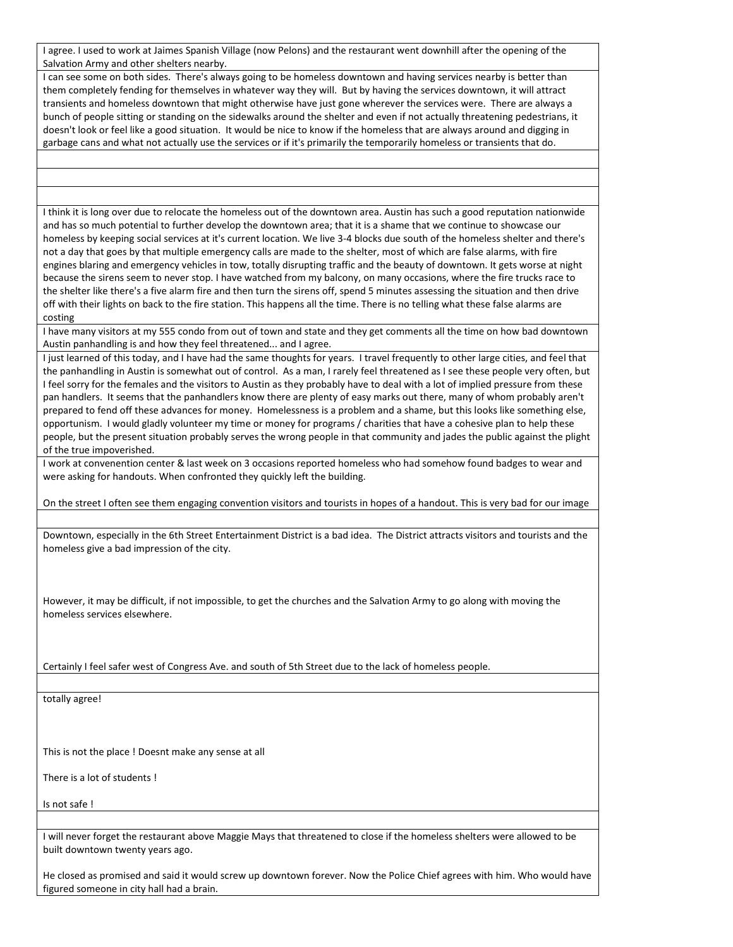I agree. I used to work at Jaimes Spanish Village (now Pelons) and the restaurant went downhill after the opening of the Salvation Army and other shelters nearby.

I can see some on both sides. There's always going to be homeless downtown and having services nearby is better than them completely fending for themselves in whatever way they will. But by having the services downtown, it will attract transients and homeless downtown that might otherwise have just gone wherever the services were. There are always a bunch of people sitting or standing on the sidewalks around the shelter and even if not actually threatening pedestrians, it doesn't look or feel like a good situation. It would be nice to know if the homeless that are always around and digging in garbage cans and what not actually use the services or if it's primarily the temporarily homeless or transients that do.

I think it is long over due to relocate the homeless out of the downtown area. Austin has such a good reputation nationwide and has so much potential to further develop the downtown area; that it is a shame that we continue to showcase our homeless by keeping social services at it's current location. We live 3-4 blocks due south of the homeless shelter and there's not a day that goes by that multiple emergency calls are made to the shelter, most of which are false alarms, with fire engines blaring and emergency vehicles in tow, totally disrupting traffic and the beauty of downtown. It gets worse at night because the sirens seem to never stop. I have watched from my balcony, on many occasions, where the fire trucks race to the shelter like there's a five alarm fire and then turn the sirens off, spend 5 minutes assessing the situation and then drive off with their lights on back to the fire station. This happens all the time. There is no telling what these false alarms are costing

I have many visitors at my 555 condo from out of town and state and they get comments all the time on how bad downtown Austin panhandling is and how they feel threatened... and I agree.

I just learned of this today, and I have had the same thoughts for years. I travel frequently to other large cities, and feel that the panhandling in Austin is somewhat out of control. As a man, I rarely feel threatened as I see these people very often, but I feel sorry for the females and the visitors to Austin as they probably have to deal with a lot of implied pressure from these pan handlers. It seems that the panhandlers know there are plenty of easy marks out there, many of whom probably aren't prepared to fend off these advances for money. Homelessness is a problem and a shame, but this looks like something else, opportunism. I would gladly volunteer my time or money for programs / charities that have a cohesive plan to help these people, but the present situation probably serves the wrong people in that community and jades the public against the plight of the true impoverished.

I work at convenention center & last week on 3 occasions reported homeless who had somehow found badges to wear and were asking for handouts. When confronted they quickly left the building.

On the street I often see them engaging convention visitors and tourists in hopes of a handout. This is very bad for our image

Downtown, especially in the 6th Street Entertainment District is a bad idea. The District attracts visitors and tourists and the homeless give a bad impression of the city.

However, it may be difficult, if not impossible, to get the churches and the Salvation Army to go along with moving the homeless services elsewhere.

Certainly I feel safer west of Congress Ave. and south of 5th Street due to the lack of homeless people.

totally agree!

This is not the place ! Doesnt make any sense at all

There is a lot of students !

Is not safe !

I will never forget the restaurant above Maggie Mays that threatened to close if the homeless shelters were allowed to be built downtown twenty years ago.

He closed as promised and said it would screw up downtown forever. Now the Police Chief agrees with him. Who would have figured someone in city hall had a brain.